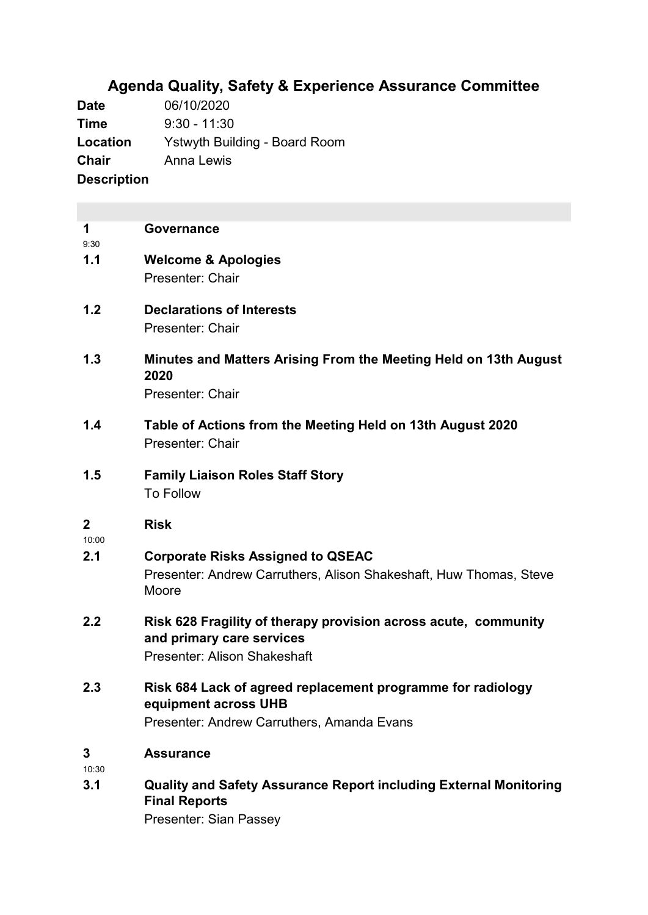# **Agenda Quality, Safety & Experience Assurance Committee**

**Date** 06/10/2020 **Time** 9:30 - 11:30 **Location** Ystwyth Building - Board Room **Chair** Anna Lewis **Description**

| 1            | Governance                                                               |
|--------------|--------------------------------------------------------------------------|
| 9:30         |                                                                          |
| 1.1          | <b>Welcome &amp; Apologies</b>                                           |
|              | Presenter: Chair                                                         |
| 1.2          | <b>Declarations of Interests</b>                                         |
|              | Presenter: Chair                                                         |
|              |                                                                          |
| 1.3          | Minutes and Matters Arising From the Meeting Held on 13th August         |
|              | 2020                                                                     |
|              | Presenter: Chair                                                         |
| 1.4          | Table of Actions from the Meeting Held on 13th August 2020               |
|              | Presenter: Chair                                                         |
|              |                                                                          |
| 1.5          | <b>Family Liaison Roles Staff Story</b>                                  |
|              | <b>To Follow</b>                                                         |
| $\mathbf{2}$ | <b>Risk</b>                                                              |
| 10:00        |                                                                          |
| 2.1          | <b>Corporate Risks Assigned to QSEAC</b>                                 |
|              | Presenter: Andrew Carruthers, Alison Shakeshaft, Huw Thomas, Steve       |
|              | Moore                                                                    |
| 2.2          | Risk 628 Fragility of therapy provision across acute, community          |
|              | and primary care services                                                |
|              | <b>Presenter: Alison Shakeshaft</b>                                      |
| 2.3          | Risk 684 Lack of agreed replacement programme for radiology              |
|              | equipment across UHB                                                     |
|              | Presenter: Andrew Carruthers, Amanda Evans                               |
|              |                                                                          |
| 3            | <b>Assurance</b>                                                         |
| 10:30<br>3.1 | <b>Quality and Safety Assurance Report including External Monitoring</b> |
|              | <b>Final Reports</b>                                                     |

Presenter: Sian Passey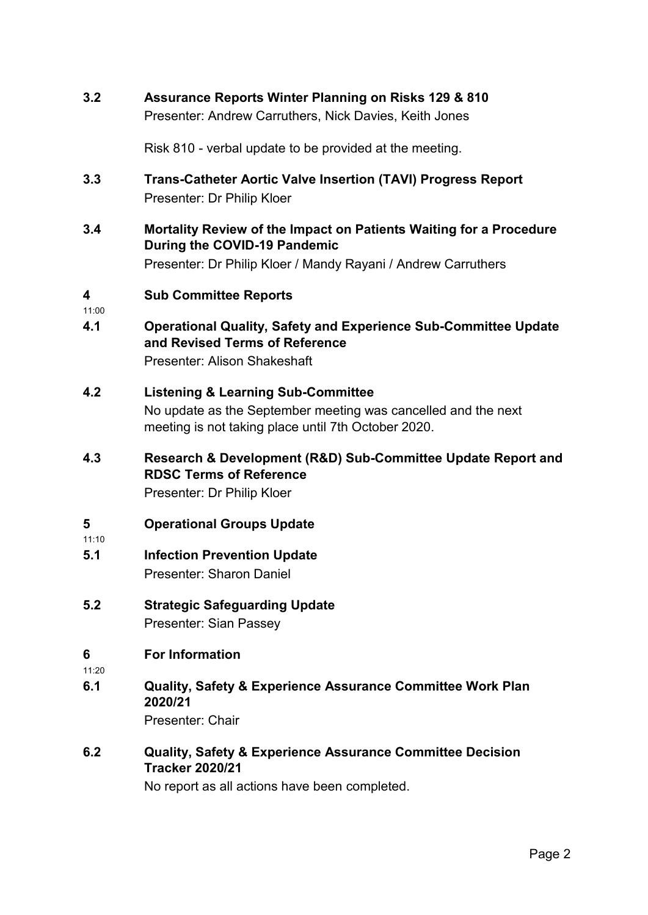**3.2 Assurance Reports Winter Planning on Risks 129 & 810**

Presenter: Andrew Carruthers, Nick Davies, Keith Jones

Risk 810 - verbal update to be provided at the meeting.

- **3.3 Trans-Catheter Aortic Valve Insertion (TAVI) Progress Report** Presenter: Dr Philip Kloer
- **3.4 Mortality Review of the Impact on Patients Waiting for a Procedure During the COVID-19 Pandemic** Presenter: Dr Philip Kloer / Mandy Rayani / Andrew Carruthers

#### **4 Sub Committee Reports**

11:00

**4.1 Operational Quality, Safety and Experience Sub-Committee Update and Revised Terms of Reference**

Presenter: Alison Shakeshaft

# **4.2 Listening & Learning Sub-Committee**

No update as the September meeting was cancelled and the next meeting is not taking place until 7th October 2020.

**4.3 Research & Development (R&D) Sub-Committee Update Report and RDSC Terms of Reference** Presenter: Dr Philip Kloer

#### **5 Operational Groups Update**

- $11:10$
- **5.1 Infection Prevention Update** Presenter: Sharon Daniel
- **5.2 Strategic Safeguarding Update**

Presenter: Sian Passey

## **6 For Information**

- 11:20
- **6.1 Quality, Safety & Experience Assurance Committee Work Plan 2020/21**

Presenter: Chair

**6.2 Quality, Safety & Experience Assurance Committee Decision Tracker 2020/21**

No report as all actions have been completed.